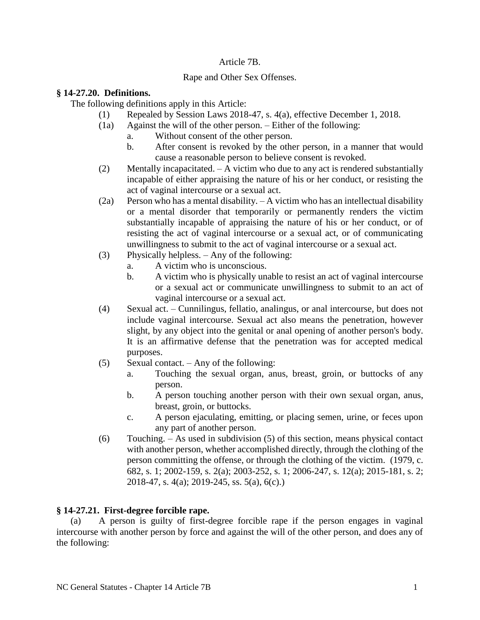#### Article 7B.

## Rape and Other Sex Offenses.

#### **§ 14-27.20. Definitions.**

The following definitions apply in this Article:

- (1) Repealed by Session Laws 2018-47, s. 4(a), effective December 1, 2018.
- (1a) Against the will of the other person. Either of the following:
	- a. Without consent of the other person.
	- b. After consent is revoked by the other person, in a manner that would cause a reasonable person to believe consent is revoked.
- (2) Mentally incapacitated. A victim who due to any act is rendered substantially incapable of either appraising the nature of his or her conduct, or resisting the act of vaginal intercourse or a sexual act.
- (2a) Person who has a mental disability. A victim who has an intellectual disability or a mental disorder that temporarily or permanently renders the victim substantially incapable of appraising the nature of his or her conduct, or of resisting the act of vaginal intercourse or a sexual act, or of communicating unwillingness to submit to the act of vaginal intercourse or a sexual act.
- (3) Physically helpless. Any of the following:
	- a. A victim who is unconscious.
	- b. A victim who is physically unable to resist an act of vaginal intercourse or a sexual act or communicate unwillingness to submit to an act of vaginal intercourse or a sexual act.
- (4) Sexual act. Cunnilingus, fellatio, analingus, or anal intercourse, but does not include vaginal intercourse. Sexual act also means the penetration, however slight, by any object into the genital or anal opening of another person's body. It is an affirmative defense that the penetration was for accepted medical purposes.
- (5) Sexual contact. Any of the following:
	- a. Touching the sexual organ, anus, breast, groin, or buttocks of any person.
	- b. A person touching another person with their own sexual organ, anus, breast, groin, or buttocks.
	- c. A person ejaculating, emitting, or placing semen, urine, or feces upon any part of another person.
- (6) Touching. As used in subdivision (5) of this section, means physical contact with another person, whether accomplished directly, through the clothing of the person committing the offense, or through the clothing of the victim. (1979, c. 682, s. 1; 2002-159, s. 2(a); 2003-252, s. 1; 2006-247, s. 12(a); 2015-181, s. 2; 2018-47, s. 4(a); 2019-245, ss. 5(a), 6(c).)

# **§ 14-27.21. First-degree forcible rape.**

(a) A person is guilty of first-degree forcible rape if the person engages in vaginal intercourse with another person by force and against the will of the other person, and does any of the following: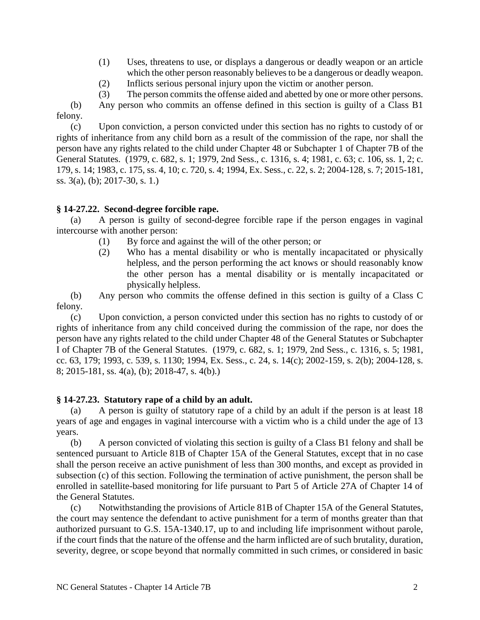- (1) Uses, threatens to use, or displays a dangerous or deadly weapon or an article which the other person reasonably believes to be a dangerous or deadly weapon.
- (2) Inflicts serious personal injury upon the victim or another person.
- (3) The person commits the offense aided and abetted by one or more other persons.

(b) Any person who commits an offense defined in this section is guilty of a Class B1 felony.

(c) Upon conviction, a person convicted under this section has no rights to custody of or rights of inheritance from any child born as a result of the commission of the rape, nor shall the person have any rights related to the child under Chapter 48 or Subchapter 1 of Chapter 7B of the General Statutes. (1979, c. 682, s. 1; 1979, 2nd Sess., c. 1316, s. 4; 1981, c. 63; c. 106, ss. 1, 2; c. 179, s. 14; 1983, c. 175, ss. 4, 10; c. 720, s. 4; 1994, Ex. Sess., c. 22, s. 2; 2004-128, s. 7; 2015-181, ss. 3(a), (b); 2017-30, s. 1.)

# **§ 14-27.22. Second-degree forcible rape.**

(a) A person is guilty of second-degree forcible rape if the person engages in vaginal intercourse with another person:

- (1) By force and against the will of the other person; or
- (2) Who has a mental disability or who is mentally incapacitated or physically helpless, and the person performing the act knows or should reasonably know the other person has a mental disability or is mentally incapacitated or physically helpless.

(b) Any person who commits the offense defined in this section is guilty of a Class C felony.

(c) Upon conviction, a person convicted under this section has no rights to custody of or rights of inheritance from any child conceived during the commission of the rape, nor does the person have any rights related to the child under Chapter 48 of the General Statutes or Subchapter I of Chapter 7B of the General Statutes. (1979, c. 682, s. 1; 1979, 2nd Sess., c. 1316, s. 5; 1981, cc. 63, 179; 1993, c. 539, s. 1130; 1994, Ex. Sess., c. 24, s. 14(c); 2002-159, s. 2(b); 2004-128, s. 8; 2015-181, ss. 4(a), (b); 2018-47, s. 4(b).)

# **§ 14-27.23. Statutory rape of a child by an adult.**

(a) A person is guilty of statutory rape of a child by an adult if the person is at least 18 years of age and engages in vaginal intercourse with a victim who is a child under the age of 13 years.

(b) A person convicted of violating this section is guilty of a Class B1 felony and shall be sentenced pursuant to Article 81B of Chapter 15A of the General Statutes, except that in no case shall the person receive an active punishment of less than 300 months, and except as provided in subsection (c) of this section. Following the termination of active punishment, the person shall be enrolled in satellite-based monitoring for life pursuant to Part 5 of Article 27A of Chapter 14 of the General Statutes.

(c) Notwithstanding the provisions of Article 81B of Chapter 15A of the General Statutes, the court may sentence the defendant to active punishment for a term of months greater than that authorized pursuant to G.S. 15A-1340.17, up to and including life imprisonment without parole, if the court finds that the nature of the offense and the harm inflicted are of such brutality, duration, severity, degree, or scope beyond that normally committed in such crimes, or considered in basic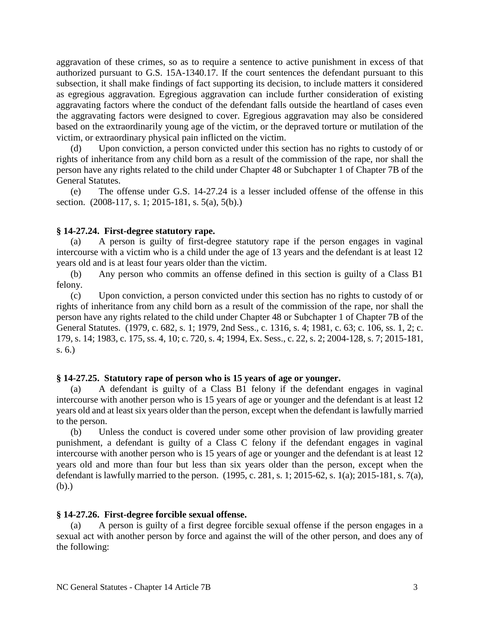aggravation of these crimes, so as to require a sentence to active punishment in excess of that authorized pursuant to G.S. 15A-1340.17. If the court sentences the defendant pursuant to this subsection, it shall make findings of fact supporting its decision, to include matters it considered as egregious aggravation. Egregious aggravation can include further consideration of existing aggravating factors where the conduct of the defendant falls outside the heartland of cases even the aggravating factors were designed to cover. Egregious aggravation may also be considered based on the extraordinarily young age of the victim, or the depraved torture or mutilation of the victim, or extraordinary physical pain inflicted on the victim.

(d) Upon conviction, a person convicted under this section has no rights to custody of or rights of inheritance from any child born as a result of the commission of the rape, nor shall the person have any rights related to the child under Chapter 48 or Subchapter 1 of Chapter 7B of the General Statutes.

(e) The offense under G.S. 14-27.24 is a lesser included offense of the offense in this section. (2008-117, s. 1; 2015-181, s. 5(a), 5(b).)

#### **§ 14-27.24. First-degree statutory rape.**

A person is guilty of first-degree statutory rape if the person engages in vaginal intercourse with a victim who is a child under the age of 13 years and the defendant is at least 12 years old and is at least four years older than the victim.

(b) Any person who commits an offense defined in this section is guilty of a Class B1 felony.

(c) Upon conviction, a person convicted under this section has no rights to custody of or rights of inheritance from any child born as a result of the commission of the rape, nor shall the person have any rights related to the child under Chapter 48 or Subchapter 1 of Chapter 7B of the General Statutes. (1979, c. 682, s. 1; 1979, 2nd Sess., c. 1316, s. 4; 1981, c. 63; c. 106, ss. 1, 2; c. 179, s. 14; 1983, c. 175, ss. 4, 10; c. 720, s. 4; 1994, Ex. Sess., c. 22, s. 2; 2004-128, s. 7; 2015-181, s. 6.)

#### **§ 14-27.25. Statutory rape of person who is 15 years of age or younger.**

(a) A defendant is guilty of a Class B1 felony if the defendant engages in vaginal intercourse with another person who is 15 years of age or younger and the defendant is at least 12 years old and at least six years older than the person, except when the defendant is lawfully married to the person.

(b) Unless the conduct is covered under some other provision of law providing greater punishment, a defendant is guilty of a Class C felony if the defendant engages in vaginal intercourse with another person who is 15 years of age or younger and the defendant is at least 12 years old and more than four but less than six years older than the person, except when the defendant is lawfully married to the person. (1995, c. 281, s. 1; 2015-62, s. 1(a); 2015-181, s. 7(a), (b).)

#### **§ 14-27.26. First-degree forcible sexual offense.**

(a) A person is guilty of a first degree forcible sexual offense if the person engages in a sexual act with another person by force and against the will of the other person, and does any of the following: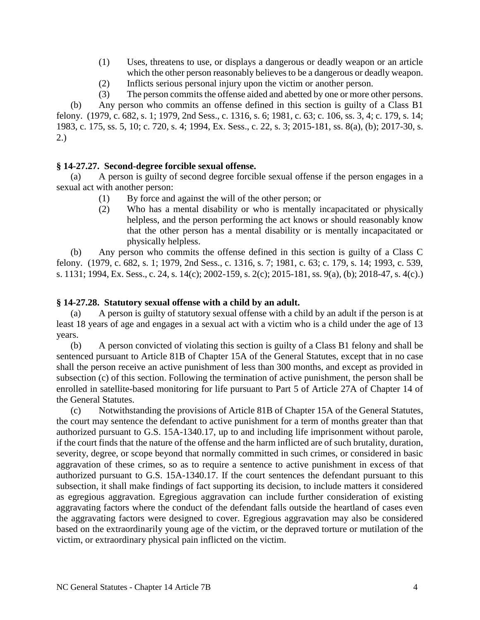- (1) Uses, threatens to use, or displays a dangerous or deadly weapon or an article which the other person reasonably believes to be a dangerous or deadly weapon.
- (2) Inflicts serious personal injury upon the victim or another person.

(3) The person commits the offense aided and abetted by one or more other persons. (b) Any person who commits an offense defined in this section is guilty of a Class B1 felony. (1979, c. 682, s. 1; 1979, 2nd Sess., c. 1316, s. 6; 1981, c. 63; c. 106, ss. 3, 4; c. 179, s. 14; 1983, c. 175, ss. 5, 10; c. 720, s. 4; 1994, Ex. Sess., c. 22, s. 3; 2015-181, ss. 8(a), (b); 2017-30, s. 2.)

## **§ 14-27.27. Second-degree forcible sexual offense.**

(a) A person is guilty of second degree forcible sexual offense if the person engages in a sexual act with another person:

- (1) By force and against the will of the other person; or
- (2) Who has a mental disability or who is mentally incapacitated or physically helpless, and the person performing the act knows or should reasonably know that the other person has a mental disability or is mentally incapacitated or physically helpless.

(b) Any person who commits the offense defined in this section is guilty of a Class C felony. (1979, c. 682, s. 1; 1979, 2nd Sess., c. 1316, s. 7; 1981, c. 63; c. 179, s. 14; 1993, c. 539, s. 1131; 1994, Ex. Sess., c. 24, s. 14(c); 2002-159, s. 2(c); 2015-181, ss. 9(a), (b); 2018-47, s. 4(c).)

## **§ 14-27.28. Statutory sexual offense with a child by an adult.**

(a) A person is guilty of statutory sexual offense with a child by an adult if the person is at least 18 years of age and engages in a sexual act with a victim who is a child under the age of 13 years.

(b) A person convicted of violating this section is guilty of a Class B1 felony and shall be sentenced pursuant to Article 81B of Chapter 15A of the General Statutes, except that in no case shall the person receive an active punishment of less than 300 months, and except as provided in subsection (c) of this section. Following the termination of active punishment, the person shall be enrolled in satellite-based monitoring for life pursuant to Part 5 of Article 27A of Chapter 14 of the General Statutes.

(c) Notwithstanding the provisions of Article 81B of Chapter 15A of the General Statutes, the court may sentence the defendant to active punishment for a term of months greater than that authorized pursuant to G.S. 15A-1340.17, up to and including life imprisonment without parole, if the court finds that the nature of the offense and the harm inflicted are of such brutality, duration, severity, degree, or scope beyond that normally committed in such crimes, or considered in basic aggravation of these crimes, so as to require a sentence to active punishment in excess of that authorized pursuant to G.S. 15A-1340.17. If the court sentences the defendant pursuant to this subsection, it shall make findings of fact supporting its decision, to include matters it considered as egregious aggravation. Egregious aggravation can include further consideration of existing aggravating factors where the conduct of the defendant falls outside the heartland of cases even the aggravating factors were designed to cover. Egregious aggravation may also be considered based on the extraordinarily young age of the victim, or the depraved torture or mutilation of the victim, or extraordinary physical pain inflicted on the victim.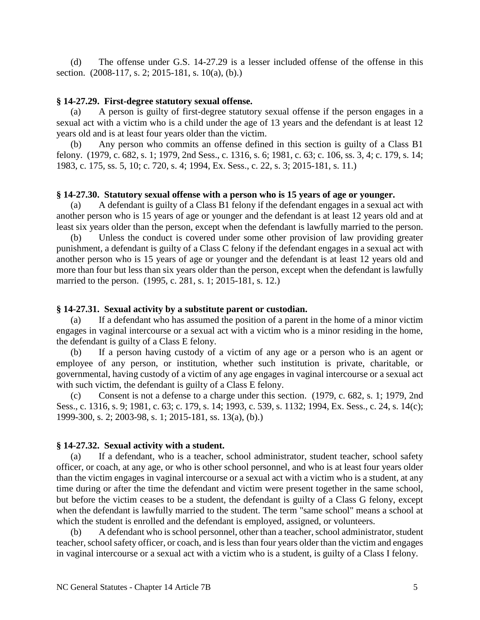(d) The offense under G.S. 14-27.29 is a lesser included offense of the offense in this section. (2008-117, s. 2; 2015-181, s. 10(a), (b).)

#### **§ 14-27.29. First-degree statutory sexual offense.**

(a) A person is guilty of first-degree statutory sexual offense if the person engages in a sexual act with a victim who is a child under the age of 13 years and the defendant is at least 12 years old and is at least four years older than the victim.

Any person who commits an offense defined in this section is guilty of a Class B1 felony. (1979, c. 682, s. 1; 1979, 2nd Sess., c. 1316, s. 6; 1981, c. 63; c. 106, ss. 3, 4; c. 179, s. 14; 1983, c. 175, ss. 5, 10; c. 720, s. 4; 1994, Ex. Sess., c. 22, s. 3; 2015-181, s. 11.)

#### **§ 14-27.30. Statutory sexual offense with a person who is 15 years of age or younger.**

(a) A defendant is guilty of a Class B1 felony if the defendant engages in a sexual act with another person who is 15 years of age or younger and the defendant is at least 12 years old and at least six years older than the person, except when the defendant is lawfully married to the person.

(b) Unless the conduct is covered under some other provision of law providing greater punishment, a defendant is guilty of a Class C felony if the defendant engages in a sexual act with another person who is 15 years of age or younger and the defendant is at least 12 years old and more than four but less than six years older than the person, except when the defendant is lawfully married to the person. (1995, c. 281, s. 1; 2015-181, s. 12.)

#### **§ 14-27.31. Sexual activity by a substitute parent or custodian.**

(a) If a defendant who has assumed the position of a parent in the home of a minor victim engages in vaginal intercourse or a sexual act with a victim who is a minor residing in the home, the defendant is guilty of a Class E felony.

(b) If a person having custody of a victim of any age or a person who is an agent or employee of any person, or institution, whether such institution is private, charitable, or governmental, having custody of a victim of any age engages in vaginal intercourse or a sexual act with such victim, the defendant is guilty of a Class E felony.

(c) Consent is not a defense to a charge under this section. (1979, c. 682, s. 1; 1979, 2nd Sess., c. 1316, s. 9; 1981, c. 63; c. 179, s. 14; 1993, c. 539, s. 1132; 1994, Ex. Sess., c. 24, s. 14(c); 1999-300, s. 2; 2003-98, s. 1; 2015-181, ss. 13(a), (b).)

#### **§ 14-27.32. Sexual activity with a student.**

If a defendant, who is a teacher, school administrator, student teacher, school safety officer, or coach, at any age, or who is other school personnel, and who is at least four years older than the victim engages in vaginal intercourse or a sexual act with a victim who is a student, at any time during or after the time the defendant and victim were present together in the same school, but before the victim ceases to be a student, the defendant is guilty of a Class G felony, except when the defendant is lawfully married to the student. The term "same school" means a school at which the student is enrolled and the defendant is employed, assigned, or volunteers.

(b) A defendant who is school personnel, other than a teacher, school administrator, student teacher, school safety officer, or coach, and is less than four years older than the victim and engages in vaginal intercourse or a sexual act with a victim who is a student, is guilty of a Class I felony.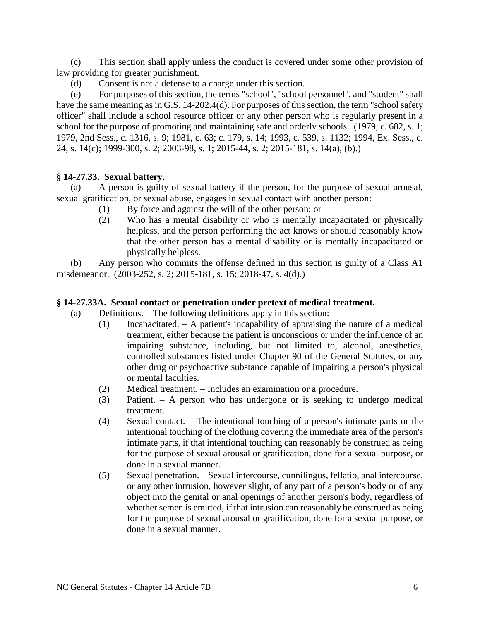(c) This section shall apply unless the conduct is covered under some other provision of law providing for greater punishment.

(d) Consent is not a defense to a charge under this section.

(e) For purposes of this section, the terms "school", "school personnel", and "student" shall have the same meaning as in G.S. 14-202.4(d). For purposes of this section, the term "school safety officer" shall include a school resource officer or any other person who is regularly present in a school for the purpose of promoting and maintaining safe and orderly schools. (1979, c. 682, s. 1; 1979, 2nd Sess., c. 1316, s. 9; 1981, c. 63; c. 179, s. 14; 1993, c. 539, s. 1132; 1994, Ex. Sess., c. 24, s. 14(c); 1999-300, s. 2; 2003-98, s. 1; 2015-44, s. 2; 2015-181, s. 14(a), (b).)

## **§ 14-27.33. Sexual battery.**

(a) A person is guilty of sexual battery if the person, for the purpose of sexual arousal, sexual gratification, or sexual abuse, engages in sexual contact with another person:

- (1) By force and against the will of the other person; or
- (2) Who has a mental disability or who is mentally incapacitated or physically helpless, and the person performing the act knows or should reasonably know that the other person has a mental disability or is mentally incapacitated or physically helpless.

(b) Any person who commits the offense defined in this section is guilty of a Class A1 misdemeanor. (2003-252, s. 2; 2015-181, s. 15; 2018-47, s. 4(d).)

## **§ 14-27.33A. Sexual contact or penetration under pretext of medical treatment.**

- (a) Definitions. The following definitions apply in this section:
	- (1) Incapacitated. A patient's incapability of appraising the nature of a medical treatment, either because the patient is unconscious or under the influence of an impairing substance, including, but not limited to, alcohol, anesthetics, controlled substances listed under Chapter 90 of the General Statutes, or any other drug or psychoactive substance capable of impairing a person's physical or mental faculties.
	- (2) Medical treatment. Includes an examination or a procedure.
	- (3) Patient. A person who has undergone or is seeking to undergo medical treatment.
	- (4) Sexual contact. The intentional touching of a person's intimate parts or the intentional touching of the clothing covering the immediate area of the person's intimate parts, if that intentional touching can reasonably be construed as being for the purpose of sexual arousal or gratification, done for a sexual purpose, or done in a sexual manner.
	- (5) Sexual penetration. Sexual intercourse, cunnilingus, fellatio, anal intercourse, or any other intrusion, however slight, of any part of a person's body or of any object into the genital or anal openings of another person's body, regardless of whether semen is emitted, if that intrusion can reasonably be construed as being for the purpose of sexual arousal or gratification, done for a sexual purpose, or done in a sexual manner.